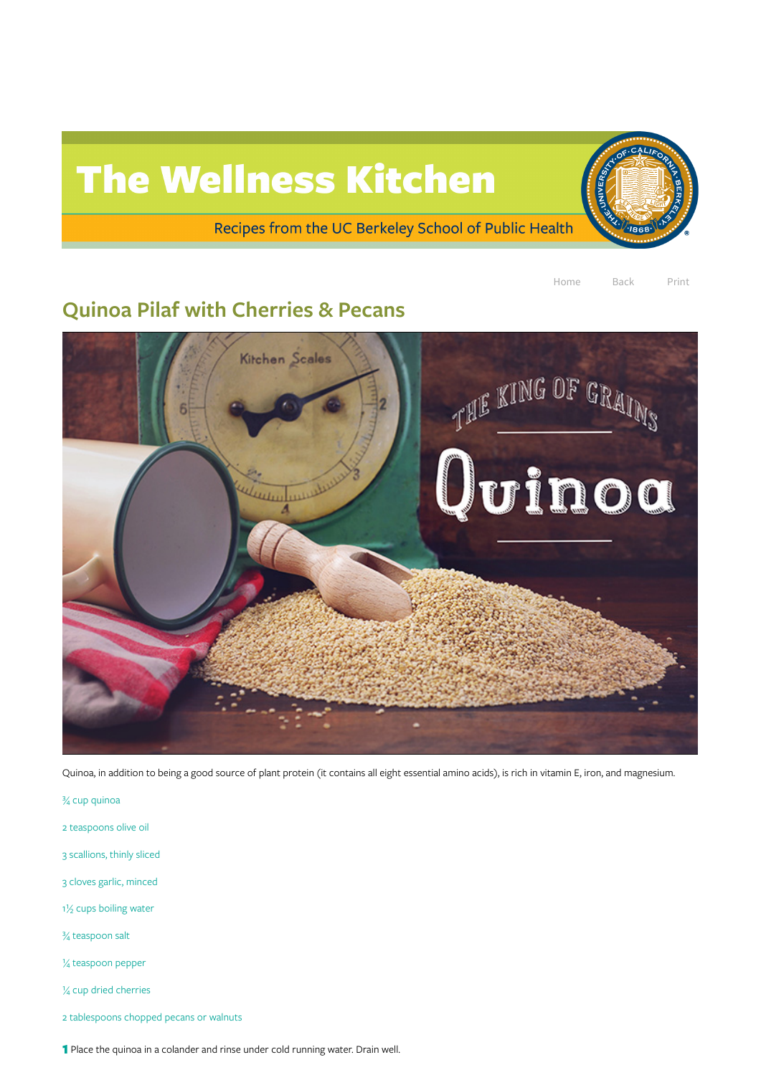

## Quinoa Pilaf with Cherries & Pecans



Quinoa, in addition to being a good source of plant protein (it contains all eight essential amino acids), is rich in vitamin E, iron, and magnesium.

## teaspoons olive oil

scallions, thinly sliced

cloves garlic, minced

cups boiling water

teaspoon salt

teaspoon pepper

cup dried cherries

tablespoons chopped pecans or walnuts

1 Place the quinoa in a colander and rinse under cold running water. Drain well.